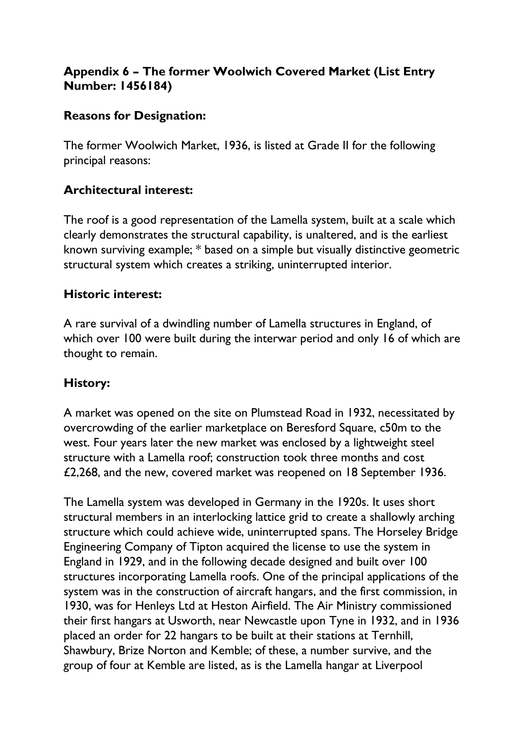# **Appendix 6 – The former Woolwich Covered Market (List Entry Number: 1456184)**

### **Reasons for Designation:**

The former Woolwich Market, 1936, is listed at Grade II for the following principal reasons:

## **Architectural interest:**

The roof is a good representation of the Lamella system, built at a scale which clearly demonstrates the structural capability, is unaltered, and is the earliest known surviving example; \* based on a simple but visually distinctive geometric structural system which creates a striking, uninterrupted interior.

#### **Historic interest:**

A rare survival of a dwindling number of Lamella structures in England, of which over 100 were built during the interwar period and only 16 of which are thought to remain.

## **History:**

A market was opened on the site on Plumstead Road in 1932, necessitated by overcrowding of the earlier marketplace on Beresford Square, c50m to the west. Four years later the new market was enclosed by a lightweight steel structure with a Lamella roof; construction took three months and cost £2,268, and the new, covered market was reopened on 18 September 1936.

The Lamella system was developed in Germany in the 1920s. It uses short structural members in an interlocking lattice grid to create a shallowly arching structure which could achieve wide, uninterrupted spans. The Horseley Bridge Engineering Company of Tipton acquired the license to use the system in England in 1929, and in the following decade designed and built over 100 structures incorporating Lamella roofs. One of the principal applications of the system was in the construction of aircraft hangars, and the first commission, in 1930, was for Henleys Ltd at Heston Airfield. The Air Ministry commissioned their first hangars at Usworth, near Newcastle upon Tyne in 1932, and in 1936 placed an order for 22 hangars to be built at their stations at Ternhill, Shawbury, Brize Norton and Kemble; of these, a number survive, and the group of four at Kemble are listed, as is the Lamella hangar at Liverpool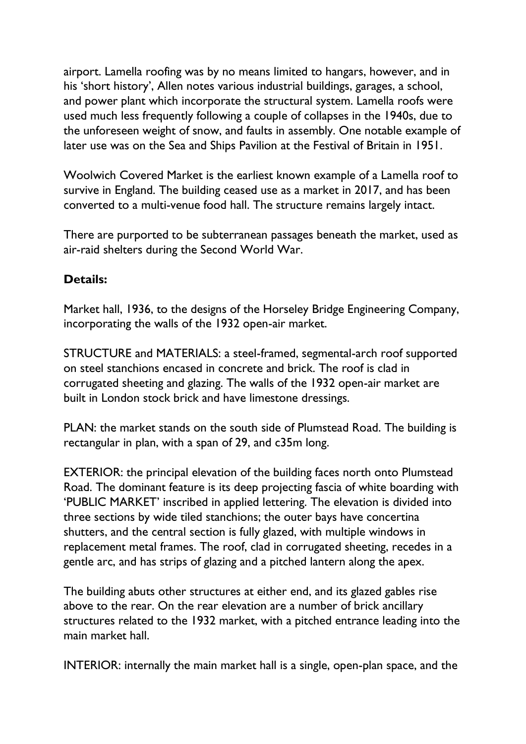airport. Lamella roofing was by no means limited to hangars, however, and in his 'short history', Allen notes various industrial buildings, garages, a school, and power plant which incorporate the structural system. Lamella roofs were used much less frequently following a couple of collapses in the 1940s, due to the unforeseen weight of snow, and faults in assembly. One notable example of later use was on the Sea and Ships Pavilion at the Festival of Britain in 1951.

Woolwich Covered Market is the earliest known example of a Lamella roof to survive in England. The building ceased use as a market in 2017, and has been converted to a multi-venue food hall. The structure remains largely intact.

There are purported to be subterranean passages beneath the market, used as air-raid shelters during the Second World War.

## **Details:**

Market hall, 1936, to the designs of the Horseley Bridge Engineering Company, incorporating the walls of the 1932 open-air market.

STRUCTURE and MATERIALS: a steel-framed, segmental-arch roof supported on steel stanchions encased in concrete and brick. The roof is clad in corrugated sheeting and glazing. The walls of the 1932 open-air market are built in London stock brick and have limestone dressings.

PLAN: the market stands on the south side of Plumstead Road. The building is rectangular in plan, with a span of 29, and c35m long.

EXTERIOR: the principal elevation of the building faces north onto Plumstead Road. The dominant feature is its deep projecting fascia of white boarding with 'PUBLIC MARKET' inscribed in applied lettering. The elevation is divided into three sections by wide tiled stanchions; the outer bays have concertina shutters, and the central section is fully glazed, with multiple windows in replacement metal frames. The roof, clad in corrugated sheeting, recedes in a gentle arc, and has strips of glazing and a pitched lantern along the apex.

The building abuts other structures at either end, and its glazed gables rise above to the rear. On the rear elevation are a number of brick ancillary structures related to the 1932 market, with a pitched entrance leading into the main market hall.

INTERIOR: internally the main market hall is a single, open-plan space, and the